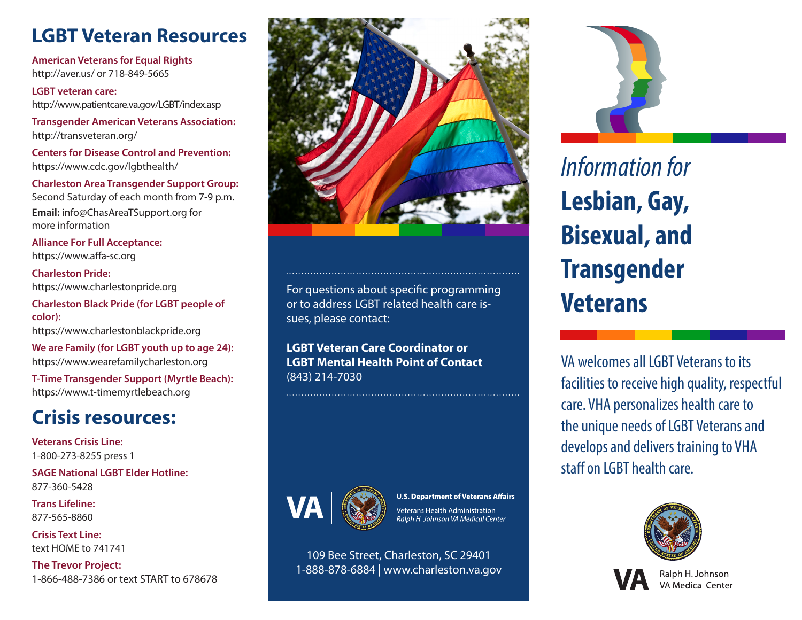# **LGBT Veteran Resources**

**American Veterans for Equal Rights** http://aver.us/ or 718-849-5665

**LGBT veteran care:** http://www.patientcare.va.gov/LGBT/index.asp

**Transgender American Veterans Association:**  http://transveteran.org/

**Centers for Disease Control and Prevention:**  https://www.cdc.gov/lgbthealth/

**Charleston Area Transgender Support Group:**  Second Saturday of each month from 7-9 p.m. **Email:** info@ChasAreaTSupport.org for more information

**Alliance For Full Acceptance:**  https://www.affa-sc.org

**Charleston Pride:** https://www.charlestonpride.org

**Charleston Black Pride (for LGBT people of color):** https://www.charlestonblackpride.org

**We are Family (for LGBT youth up to age 24):** https://www.wearefamilycharleston.org

**T-Time Transgender Support (Myrtle Beach):**  https://www.t-timemyrtlebeach.org

### **Crisis resources:**

**Veterans Crisis Line:**  1-800-273-8255 press 1

**SAGE National LGBT Elder Hotline:**  877-360-5428

**Trans Lifeline:**  877-565-8860

**Crisis Text Line:**  text HOME to 741741

**The Trevor Project:**  1-866-488-7386 or text START to 678678



For questions about specific programming or to address LGBT related health care issues, please contact:

**LGBT Veteran Care Coordinator or LGBT Mental Health Point of Contact**  (843) 214-7030



**U.S. Department of Veterans Affairs** Veterans Health Administration Ralph H. Johnson VA Medical Center

109 Bee Street, Charleston, SC 29401 1-888-878-6884 | www.charleston.va.gov



*Information for*  **Lesbian, Gay, Bisexual, and Transgender Veterans**

VA welcomes all LGBT Veterans to its facilities to receive high quality, respectful care. VHA personalizes health care to the unique needs of LGBT Veterans and develops and delivers training to VHA staff on LGBT health care.